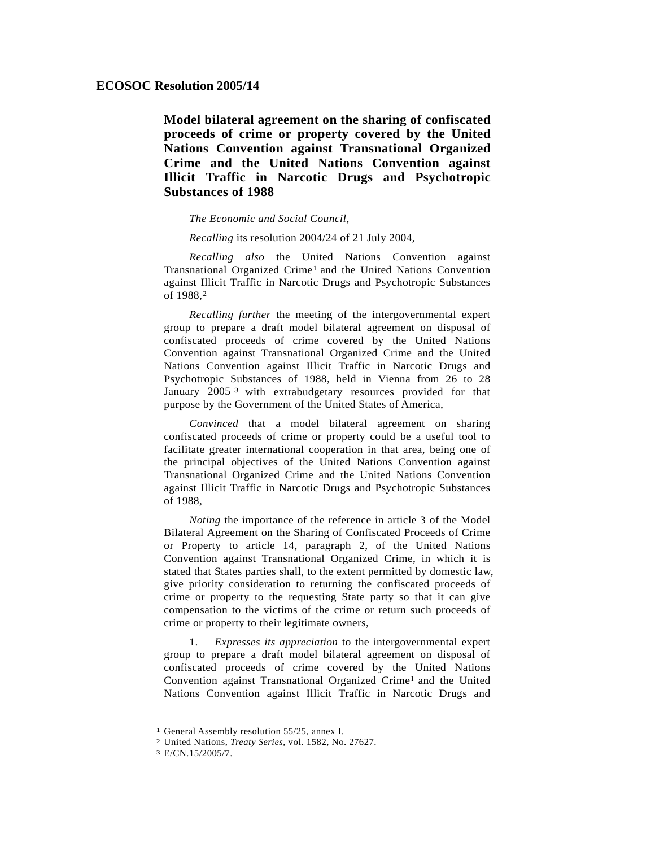**Model bilateral agreement on the sharing of confiscated proceeds of crime or property covered by the United Nations Convention against Transnational Organized Crime and the United Nations Convention against Illicit Traffic in Narcotic Drugs and Psychotropic Substances of 1988** 

*The Economic and Social Council*,

*Recalling* its resolution 2004/24 of 21 July 2004,

*Recalling also* the United Nations Convention against Transnational Organized Crime1 and the United Nations Convention against Illicit Traffic in Narcotic Drugs and Psychotropic Substances of 1988,2

*Recalling further* the meeting of the intergovernmental expert group to prepare a draft model bilateral agreement on disposal of confiscated proceeds of crime covered by the United Nations Convention against Transnational Organized Crime and the United Nations Convention against Illicit Traffic in Narcotic Drugs and Psychotropic Substances of 1988, held in Vienna from 26 to 28 January 2005<sup>3</sup> with extrabudgetary resources provided for that purpose by the Government of the United States of America,

 *Convinced* that a model bilateral agreement on sharing confiscated proceeds of crime or property could be a useful tool to facilitate greater international cooperation in that area, being one of the principal objectives of the United Nations Convention against Transnational Organized Crime and the United Nations Convention against Illicit Traffic in Narcotic Drugs and Psychotropic Substances of 1988,

*Noting* the importance of the reference in article 3 of the Model Bilateral Agreement on the Sharing of Confiscated Proceeds of Crime or Property to article 14, paragraph 2, of the United Nations Convention against Transnational Organized Crime, in which it is stated that States parties shall, to the extent permitted by domestic law, give priority consideration to returning the confiscated proceeds of crime or property to the requesting State party so that it can give compensation to the victims of the crime or return such proceeds of crime or property to their legitimate owners,

 1. *Expresses its appreciation* to the intergovernmental expert group to prepare a draft model bilateral agreement on disposal of confiscated proceeds of crime covered by the United Nations Convention against Transnational Organized Crime<sup>1</sup> and the United Nations Convention against Illicit Traffic in Narcotic Drugs and

 <sup>1</sup> General Assembly resolution 55/25, annex I.

<sup>2</sup> United Nations, *Treaty Series*, vol. 1582, No. 27627.

<sup>3</sup> E/CN.15/2005/7.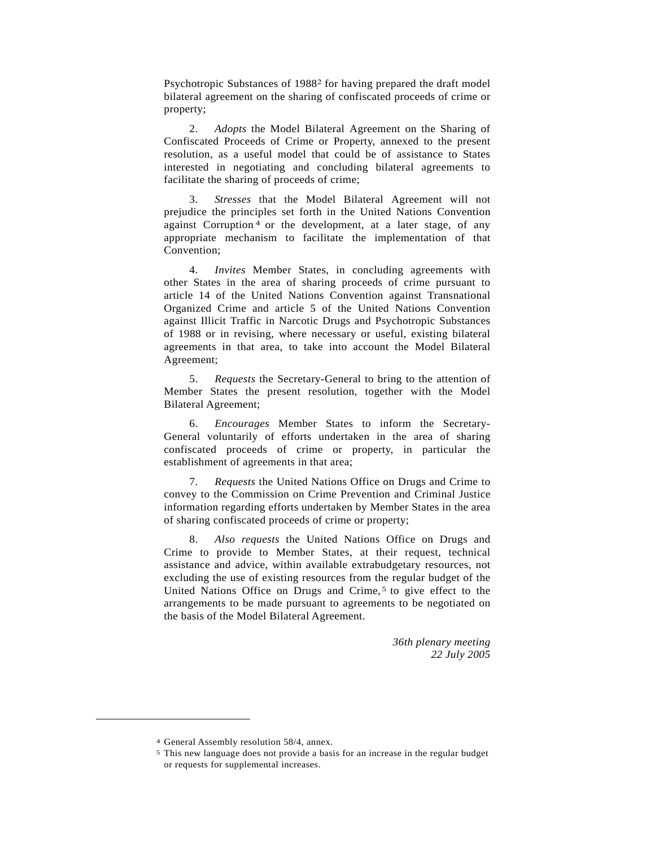Psychotropic Substances of 19882 for having prepared the draft model bilateral agreement on the sharing of confiscated proceeds of crime or property;

 2. *Adopts* the Model Bilateral Agreement on the Sharing of Confiscated Proceeds of Crime or Property, annexed to the present resolution, as a useful model that could be of assistance to States interested in negotiating and concluding bilateral agreements to facilitate the sharing of proceeds of crime;

 3. *Stresses* that the Model Bilateral Agreement will not prejudice the principles set forth in the United Nations Convention against Corruption<sup>4</sup> or the development, at a later stage, of any appropriate mechanism to facilitate the implementation of that Convention;

 4. *Invites* Member States, in concluding agreements with other States in the area of sharing proceeds of crime pursuant to article 14 of the United Nations Convention against Transnational Organized Crime and article 5 of the United Nations Convention against Illicit Traffic in Narcotic Drugs and Psychotropic Substances of 1988 or in revising, where necessary or useful, existing bilateral agreements in that area, to take into account the Model Bilateral Agreement;

 5. *Requests* the Secretary-General to bring to the attention of Member States the present resolution, together with the Model Bilateral Agreement;

 6. *Encourages* Member States to inform the Secretary-General voluntarily of efforts undertaken in the area of sharing confiscated proceeds of crime or property, in particular the establishment of agreements in that area;

 7. *Requests* the United Nations Office on Drugs and Crime to convey to the Commission on Crime Prevention and Criminal Justice information regarding efforts undertaken by Member States in the area of sharing confiscated proceeds of crime or property;

Also requests the United Nations Office on Drugs and Crime to provide to Member States, at their request, technical assistance and advice, within available extrabudgetary resources, not excluding the use of existing resources from the regular budget of the United Nations Office on Drugs and Crime,<sup>5</sup> to give effect to the arrangements to be made pursuant to agreements to be negotiated on the basis of the Model Bilateral Agreement.

> *36th plenary meeting 22 July 2005*

 $\overline{a}$ 

<sup>4</sup> General Assembly resolution 58/4, annex.

<sup>5</sup> This new language does not provide a basis for an increase in the regular budget or requests for supplemental increases.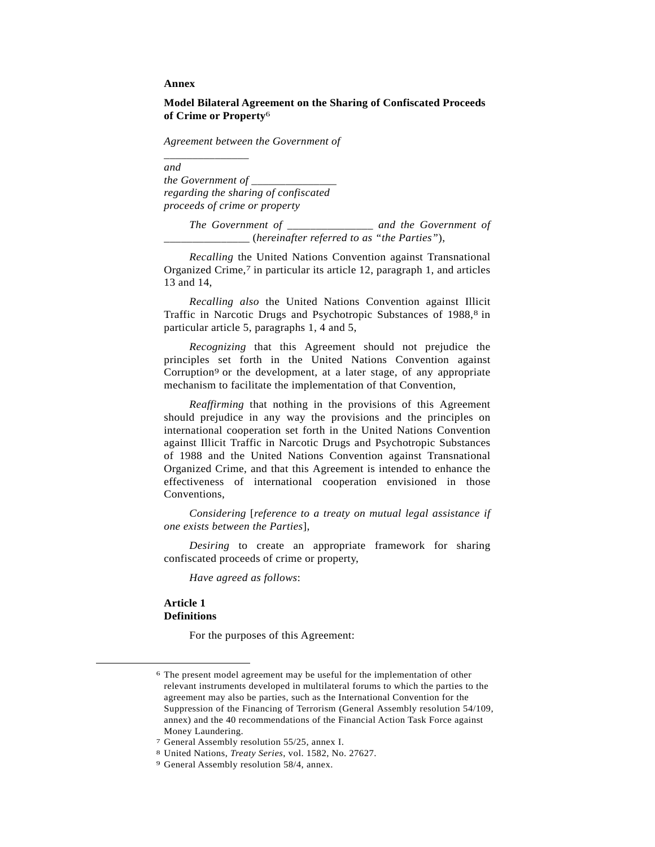#### **Annex**

\_*\_\_\_\_\_\_\_\_\_\_\_\_\_\_*

# **Model Bilateral Agreement on the Sharing of Confiscated Proceeds of Crime or Property**6

 *Agreement between the Government of*

*and the Government of \_\_\_\_\_\_\_\_\_\_\_\_\_\_\_ regarding the sharing of confiscated proceeds of crime or property* 

*The Government of* \_\_\_\_\_\_\_\_\_\_\_\_\_\_\_ *and the Government of*  \_\_\_\_\_\_\_\_\_\_\_\_\_\_\_ (*hereinafter referred to as "the Parties"*),

*Recalling* the United Nations Convention against Transnational Organized Crime,<sup>7</sup> in particular its article 12, paragraph 1, and articles 13 and 14,

*Recalling also* the United Nations Convention against Illicit Traffic in Narcotic Drugs and Psychotropic Substances of 1988,<sup>8</sup> in particular article 5, paragraphs 1, 4 and 5,

*Recognizing* that this Agreement should not prejudice the principles set forth in the United Nations Convention against Corruption<sup>9</sup> or the development, at a later stage, of any appropriate mechanism to facilitate the implementation of that Convention,

 *Reaffirming* that nothing in the provisions of this Agreement should prejudice in any way the provisions and the principles on international cooperation set forth in the United Nations Convention against Illicit Traffic in Narcotic Drugs and Psychotropic Substances of 1988 and the United Nations Convention against Transnational Organized Crime, and that this Agreement is intended to enhance the effectiveness of international cooperation envisioned in those Conventions,

*Considering* [*reference to a treaty on mutual legal assistance if one exists between the Parties*],

*Desiring* to create an appropriate framework for sharing confiscated proceeds of crime or property,

*Have agreed as follows*:

## **Article 1 Definitions**

For the purposes of this Agreement:

 <sup>6</sup> The present model agreement may be useful for the implementation of other relevant instruments developed in multilateral forums to which the parties to the agreement may also be parties, such as the International Convention for the Suppression of the Financing of Terrorism (General Assembly resolution 54/109, annex) and the 40 recommendations of the Financial Action Task Force against Money Laundering.

<sup>7</sup> General Assembly resolution 55/25, annex I.

<sup>8</sup> United Nations, *Treaty Series*, vol. 1582, No. 27627. 9 General Assembly resolution 58/4, annex.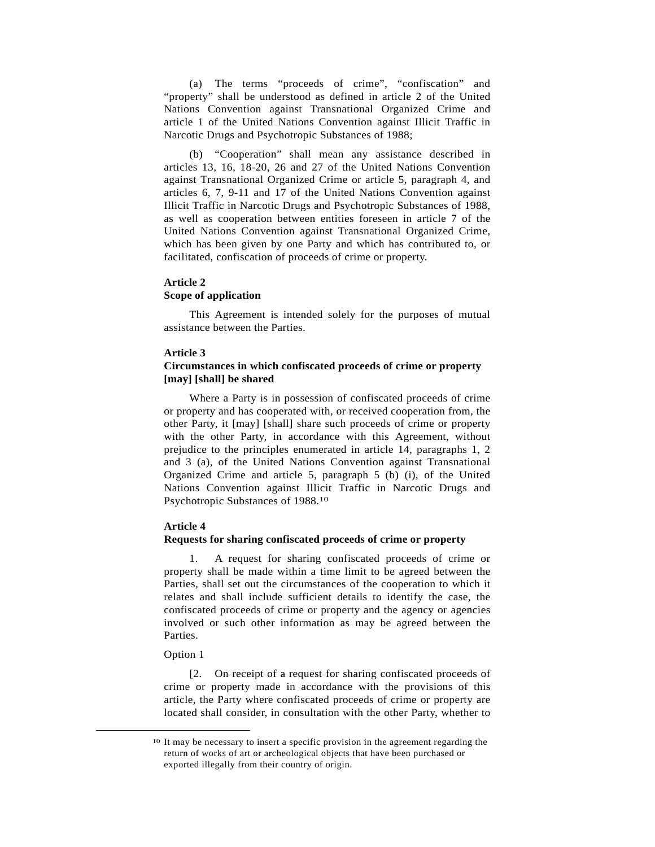(a) The terms "proceeds of crime", "confiscation" and "property" shall be understood as defined in article 2 of the United Nations Convention against Transnational Organized Crime and article 1 of the United Nations Convention against Illicit Traffic in Narcotic Drugs and Psychotropic Substances of 1988;

 (b) "Cooperation" shall mean any assistance described in articles 13, 16, 18-20, 26 and 27 of the United Nations Convention against Transnational Organized Crime or article 5, paragraph 4, and articles 6, 7, 9-11 and 17 of the United Nations Convention against Illicit Traffic in Narcotic Drugs and Psychotropic Substances of 1988, as well as cooperation between entities foreseen in article 7 of the United Nations Convention against Transnational Organized Crime, which has been given by one Party and which has contributed to, or facilitated, confiscation of proceeds of crime or property.

## **Article 2 Scope of application**

 This Agreement is intended solely for the purposes of mutual assistance between the Parties.

## **Article 3**

## **Circumstances in which confiscated proceeds of crime or property [may] [shall] be shared**

 Where a Party is in possession of confiscated proceeds of crime or property and has cooperated with, or received cooperation from, the other Party, it [may] [shall] share such proceeds of crime or property with the other Party, in accordance with this Agreement, without prejudice to the principles enumerated in article 14, paragraphs 1, 2 and 3 (a), of the United Nations Convention against Transnational Organized Crime and article 5, paragraph 5 (b) (i), of the United Nations Convention against Illicit Traffic in Narcotic Drugs and Psychotropic Substances of 1988.10

#### **Article 4**

#### **Requests for sharing confiscated proceeds of crime or property**

 1. A request for sharing confiscated proceeds of crime or property shall be made within a time limit to be agreed between the Parties, shall set out the circumstances of the cooperation to which it relates and shall include sufficient details to identify the case, the confiscated proceeds of crime or property and the agency or agencies involved or such other information as may be agreed between the Parties.

#### Option 1

 [2. On receipt of a request for sharing confiscated proceeds of crime or property made in accordance with the provisions of this article, the Party where confiscated proceeds of crime or property are located shall consider, in consultation with the other Party, whether to

 <sup>10</sup> It may be necessary to insert a specific provision in the agreement regarding the return of works of art or archeological objects that have been purchased or exported illegally from their country of origin.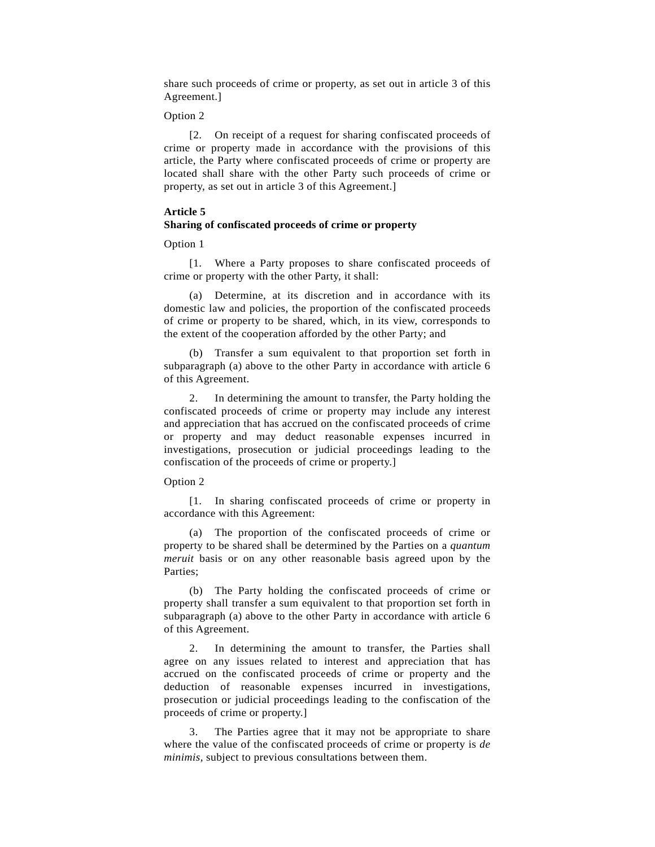share such proceeds of crime or property, as set out in article 3 of this Agreement.]

Option 2

 [2. On receipt of a request for sharing confiscated proceeds of crime or property made in accordance with the provisions of this article, the Party where confiscated proceeds of crime or property are located shall share with the other Party such proceeds of crime or property, as set out in article 3 of this Agreement.]

## **Article 5 Sharing of confiscated proceeds of crime or property**

#### Option 1

 [1. Where a Party proposes to share confiscated proceeds of crime or property with the other Party, it shall:

 (a) Determine, at its discretion and in accordance with its domestic law and policies, the proportion of the confiscated proceeds of crime or property to be shared, which, in its view, corresponds to the extent of the cooperation afforded by the other Party; and

 (b) Transfer a sum equivalent to that proportion set forth in subparagraph (a) above to the other Party in accordance with article 6 of this Agreement.

 2. In determining the amount to transfer, the Party holding the confiscated proceeds of crime or property may include any interest and appreciation that has accrued on the confiscated proceeds of crime or property and may deduct reasonable expenses incurred in investigations, prosecution or judicial proceedings leading to the confiscation of the proceeds of crime or property.]

## Option 2

 [1. In sharing confiscated proceeds of crime or property in accordance with this Agreement:

 (a) The proportion of the confiscated proceeds of crime or property to be shared shall be determined by the Parties on a *quantum meruit* basis or on any other reasonable basis agreed upon by the Parties;

 (b) The Party holding the confiscated proceeds of crime or property shall transfer a sum equivalent to that proportion set forth in subparagraph (a) above to the other Party in accordance with article 6 of this Agreement.

 2. In determining the amount to transfer, the Parties shall agree on any issues related to interest and appreciation that has accrued on the confiscated proceeds of crime or property and the deduction of reasonable expenses incurred in investigations, prosecution or judicial proceedings leading to the confiscation of the proceeds of crime or property.]

 3. The Parties agree that it may not be appropriate to share where the value of the confiscated proceeds of crime or property is *de minimis*, subject to previous consultations between them.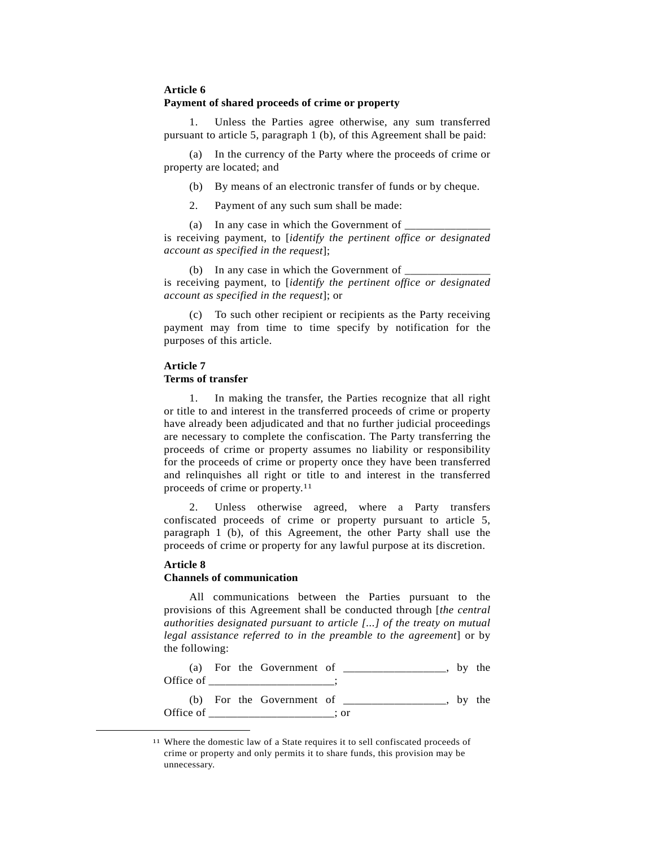## **Article 6 Payment of shared proceeds of crime or property**

 1. Unless the Parties agree otherwise, any sum transferred pursuant to article 5, paragraph 1 (b), of this Agreement shall be paid:

 (a) In the currency of the Party where the proceeds of crime or property are located; and

(b) By means of an electronic transfer of funds or by cheque.

2. Payment of any such sum shall be made:

(a) In any case in which the Government of

is receiving payment, to [*identify the pertinent office or designated account as specified in the request*];

(b) In any case in which the Government of  $\Box$ is receiving payment, to [*identify the pertinent office or designated account as specified in the request*]; or

 (c) To such other recipient or recipients as the Party receiving payment may from time to time specify by notification for the purposes of this article.

## **Article 7 Terms of transfer**

 1. In making the transfer, the Parties recognize that all right or title to and interest in the transferred proceeds of crime or property have already been adjudicated and that no further judicial proceedings are necessary to complete the confiscation. The Party transferring the proceeds of crime or property assumes no liability or responsibility for the proceeds of crime or property once they have been transferred and relinquishes all right or title to and interest in the transferred proceeds of crime or property.11

 2. Unless otherwise agreed, where a Party transfers confiscated proceeds of crime or property pursuant to article 5, paragraph 1 (b), of this Agreement, the other Party shall use the proceeds of crime or property for any lawful purpose at its discretion.

# **Article 8**

## **Channels of communication**

 All communications between the Parties pursuant to the provisions of this Agreement shall be conducted through [*the central authorities designated pursuant to article [...] of the treaty on mutual legal assistance referred to in the preamble to the agreement*] or by the following:

(a) For the Government of  $\Box$ Office of \_\_\_\_\_\_\_\_\_\_\_\_\_\_\_\_; (b) For the Government of  $\Box$  $\Box$  $\Box$  $\Box$  $\Box$  $\Box$  $\Box$ ... Office of  $\qquad \qquad ;$  or

 <sup>11</sup> Where the domestic law of a State requires it to sell confiscated proceeds of crime or property and only permits it to share funds, this provision may be unnecessary.